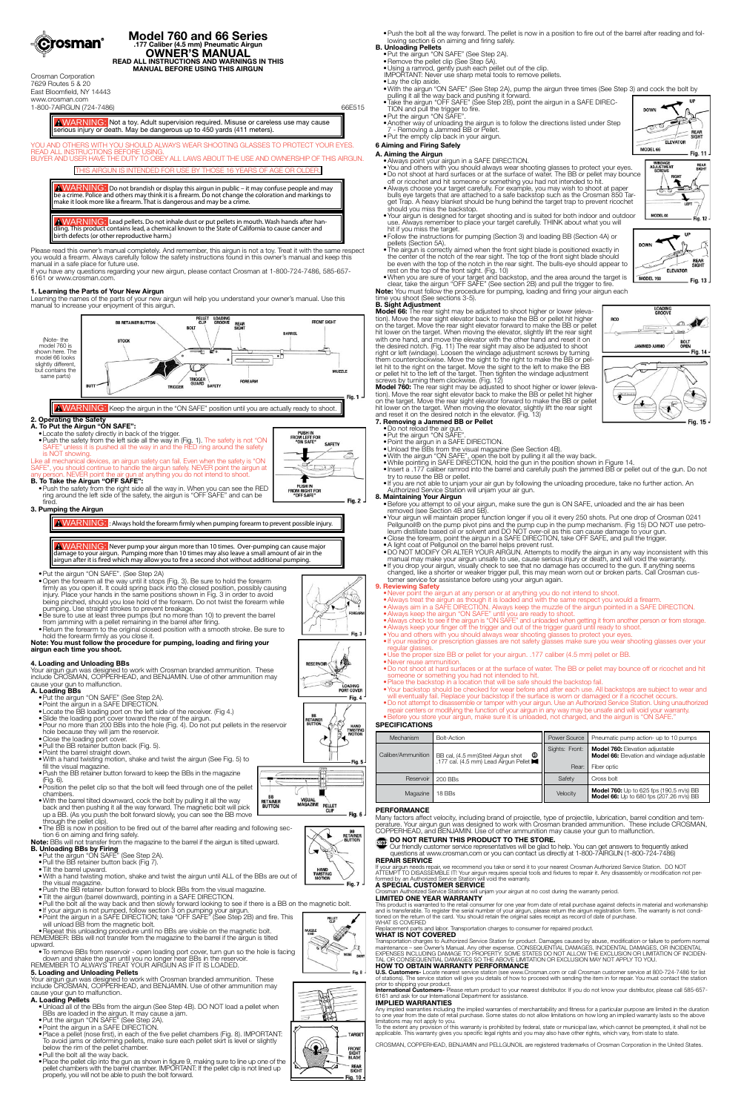

#### **Model 760 and 66 Series .177 Caliber (4.5 mm) Pneumatic Airgun OWNER'S MANUAL READ ALL INSTRUCTIONS AND WARNINGS IN THIS MANUAL BEFORE USING THIS AIRGUN**

Crosman Corporation 7629 Routes 5 & 20 East Bloomfield, NY 14443 www.crosman.com 1-800-7AIRGUN (724-7486) 66E515

WARNING: Not a toy. Adult supervision required. Misuse or careless use may cause serious injury or death. May be dangerous up to 450 yards (411 meters).

**AWARNING:** Do not brandish or display this airgun in public – it may confuse people and may be a crime. Police and others may think it is a firearm. Do not change the coloration and markings to make it look more like a firearm. That is dangerous and may be a crime.

YOU AND OTHERS WITH YOU SHOULD ALWAYS WEAR SHOOTING GLASSES TO PROTECT YOUR EYES. **READ ALL INSTRUCTIONS BEFORE USI** BUYER AND USER HAVE THE DUTY TO OBEY ALL LAWS ABOUT THE USE AND OWNERSHIP OF THIS AIRGUN.

### THIS AIRGUN IS INTENDED FOR USE BY THOSE 16 YEARS OF AGE OR OLDER.

#### **A. To Put the Airgun "ON SAFE":** • Locate the safety directly in back of the trigger.

WARNING: Lead pellets. Do not inhale dust or put pellets in mouth. Wash hands after han-dling. This product contains lead, a chemical known to the State of California to cause cancer and birth defects (or other reproductive harm.)

• Push the safety from the left side all the way in (Fig. 1). The safety is not "ON If unless it is pushed all the way in and the RED ring around the safety is NOT showing. Like all mechanical devices, an airgun safety can fail. Even when the safety is "ON

Please read this owner's manual completely. And remember, this airgun is not a toy. Treat it with the same respect you would a firearm. Always carefully follow the safety instructions found in this owner's manual and keep this manual in a safe place for future use.

NEVER point the air gun at anything you do not intend to shoot. **B. To Take the Airgun "OFF SAFE":** • Push the safety from the right side all the way in. When you can see the RED ring around the left side of the safety, the airgun is "OFF SAFE" and can be

If you have any questions regarding your new airgun, please contact Crosman at 1-800-724-7486, 585-657- 6161 or www.crosman.com.

### **1. Learning the Parts of Your New Airgun**

Learning the names of the parts of your new airgun will help you understand your owner's manual. Use this manual to increase your enjoyment of this airgun.



A WARNING: Keep the airgun in the "ON SAFE" position until you are actually ready to shoot.

### **2. Operating the Safety**

SAFE", you should continue to handle the airgun safely. NEVER point the airgun at

PUSH IN<br>FROM LEFT FOR<br>"ON SAFE" **SAFETY** 24.24

- $\bullet$  Push the BB retainer button forward to keep the BBs in the magazine (Fig. 6).
- • Position the pellet clip so that the bolt will feed through one of the pellet chambers.
- With the barrel tilted downward, cock the bolt by pulling it all the way back and then pushing it all the way forward. The magnetic bolt will pick up a BB. (As you push the bolt forward slowly, you can see the BB move through the pellet clip).
- The BB is now in position to be fired out of the barrel after reading and following section 6 on aiming and firing safely.
- **Note:** BBs will not transfer from the magazine to the barrel if the airgun is tilted upward.

# **B. Unloading BBs by Firing**<br>• Put the airgun "ON SAFE" (See Step 2A).

fired. **3. Pumping the Airgun**

AWARNING: : Always hold the forearm firmly when pumping forearm to prevent possible injury.

WARNING: Never pump your airgun more than 10 times. Over-pumping can cause major damage to your airgun. Pumping more than 10 times may also leave a small amount of air in the airgun after it is fired which may allow you to fire a second shot without additional pumping.

### • Put the airgun "ON SAFE". (See Step 2A)

- 
- Pull the BB retainer button back (Fig 7). • Tilt the barrel upward.
- • With a hand twisting motion, shake and twist the airgun until ALL of the BBs are out of the visual magazine.
- Push the BB retainer button forward to block BBs from the visual magazine.
- Tilt the airgun (barrel downward), pointing in a SAFE DIRECTION.
- • Pull the bolt all the way back and then slowly forward looking to see if there is a BB on the magnetic bolt.
- If your airgun is not pumped, follow section 3 on pumping your airgun.
- Point the airgun in a SAFE DIRECTION; take "OFF SAFE" (See Step 2B) and fire. This will unload BB from the magnetic bolt.
- • Open the forearm all the way until it stops (Fig. 3). Be sure to hold the forearm firmly as you open it. It could spring back into the closed position, possibly causing injury. Place your hands in the same positions shown in Fig. 3 in order to avoid being pinched, should you lose hold of the forearm. Do not twist the forearm while pumping. Use straight strokes to prevent breakage.
- Be sure to use at least three pumps (but no more than 10) to prevent the barrel from jamming with a pellet remaining in the barrel after firing.
- Return the forearm to the original closed position with a smooth stroke. Be sure to hold the forearm firmly as you close it.
- **B. Unloading Pellets** • Put the airgun "ON SAFE" (See Step 2A).
- Remove the pellet clip (See Step 5A).
- • Using a ramrod, gently push each pellet out of the clip.
- IMPORTANT: Never use sharp metal tools to remove pellets.
- • Lay the clip aside.
- • With the airgun "ON SAFE" (See Step 2A), pump the airgun three times (See Step 3) and cock the bolt by pulling it all the way back and pushing it forward.
- Take the airgun "OFF SAFE" (See Step 2B), point the airgun in a SAFE DIREC-TION and pull the trigger to fire.
- Put the airgun "ON SAFE". • Another way of unloading the airgun is to follow the directions listed under Step
- 7 Removing a Jammed BB or Pellet.
- Put the empty clip back in your airgun.

#### **Note: You must follow the procedure for pumping, loading and firing your airgun each time you shoot.**

### **4. Loading and Unloading BBs**

Your airgun gun was designed to work with Crosman branded ammunition. These include CROSMAN, COPPERHEAD, and BENJAMIN. Use of other ammunition may cause your gun to malfunction.

- **A. Loading BBs** • Put the airgun "ON SAFE" (See Step 2A).
- • Point the airgun in a SAFE DIRECTION.
- Locate the BB loading port on the left side of the receiver. (Fig 4.)
- Slide the loading port cover toward the rear of the airgun. • Pour no more than 200 BBs into the hole (Fig. 4). Do not put pellets in the reservoir hole because they will jam the reservoir.
- Close the loading port cover.
- 
- Pull the BB retainer button back (Fig. 5).
- • Point the barrel straight down.
- On the band twisting motion, shake and twist the airgun (See Fig. 5) to fill the visual magazine.

• Repeat this unloading procedure until no BBs are visible on the magnetic bolt. REMEMBER: BBs will not transfer from the magazine to the barrel if the airgun is tilted upward.

• To remove BBs from reservoir - open loading port cover, turn gun so the hole is facing

down and shake the gun until you no longer hear BBs in the reservoir. REMEMBER TO ALWAYS TREAT YOUR AIRGUN AS IF IT IS LOADED.

### **5. Loading and Unloading Pellets**

Your airgun gun was designed to work with Crosman branded ammunition. These include CROSMAN, COPPERHEAD, and BENJAMIN. Use of other ammunition may cause your gun to malfunction.

- **A. Loading Pellets** • Unload all of the BBs from the airgun (See Step 4B). DO NOT load a pellet when BBs are loaded in the airgun. It may cause a jam.
- Put the airgun "ON SAFE" (See Step 2A).
- • Point the airgun in a SAFE DIRECTION.
- • Place a pellet (nose first), in each of the five pellet chambers (Fig. 8). IMPORTANT: To avoid jams or deforming pellets, make sure each pellet skirt is level or slightly below the rim of the pellet chamber.
- Pull the bolt all the way back.
- Place the pellet clip into the gun as shown in figure 9, making sure to line up one of the pellet chambers with the barrel chamber. IMPORTANT: If the pellet clip is not lined up properly, you will not be able to push the bolt forward.



**BB**<br>RETAINER<br>BUTTON

• Push the bolt all the way forward. The pellet is now in a position to fire out of the barrel after reading and following section 6 on aiming and firing safely.

### **6 Aiming and Firing Safely**

Any implied warranties including the implied warranties of merchantability and fitness for a particular purpose are limited in the duration to one year from the date of retail purchase. Some states do not allow limitations on how long an implied warranty lasts so the above limitations may not apply to you.<br>To the extent any provision of this warranty is prohibited by federal, state or municipal law, which cannot be preempted, it shall not be

- **A. Aiming the Airgun** • Always point your airgun in a SAFE DIRECTION.
- • You and others with you should always wear shooting glasses to protect your eyes. • Do not shoot at hard surfaces or at the surface of water. The BB or pellet may bounce
- off or ricochet and hit someone or something you had not intended to hit. • Always choose your target carefully. For example, you may wish to shoot at paper bulls eye targets that are attached to a safe backstop such as the Crosman 850 Target Trap. A heavy blanket should be hung behind the target trap to prevent ricochet should you miss the backstop.
- • Your airgun is designed for target shooting and is suited for both indoor and outdoor use. Always remember to place your target carefully. THINK about what you will hit if you miss the target.
- • Follow the instructions for pumping (Section 3) and loading BB (Section 4A) or pellets (Section 5A).
- The airgun is correctly aimed when the front sight blade is positioned exactly in the center of the notch of the rear sight. The top of the front sight blade should be even with the top of the notch in the rear sight. The bulls-eye should appear to rest on the top of the front sight. (Fig. 10)
- • When you are sure of your target and backstop, and the area around the target is clear, take the airgun "OFF SAFE" (See section 2B) and pull the trigger to fire.

**Note:** You must follow the procedure for pumping, loading and firing your airgun each time you shoot (See sections 3-5).

**B. Sight Adjustment Model 66:** The rear sight may be adjusted to shoot higher or lower (elevation). Move the rear sight elevator back to make the BB or pellet hit higher on the target. Move the rear sight elevator forward to make the BB or pellet hit lower on the target. When moving the elevator, slightly lift the rear sight with one hand, and move the elevator with the other hand and reset it on the desired notch. (Fig. 11) The rear sight may also be adjusted to shoot right or left (windage). Loosen the windage adjustment screws by turning them counterclockwise. Move the sight to the right to make the BB or pellet hit to the right on the target. Move the sight to the left to make the BB or pellet hit to the left of the target. Then tighten the windage adjustment screws by turning them clockwise. (Fig. 12)

**Model 760:** The rear sight may be adjusted to shoot higher or lower (eleva-tion). Move the rear sight elevator back to make the BB or pellet hit higher on the target. Move the rear sight elevator forward to make the BB or pellet hit lower on the target. When moving the elevator, slightly lift the rear sight and reset it on the desired notch in the elevator. (Fig. 13)

- **7. Removing a Jammed BB or Pellet** • Do not reload the air gun.
- Put the airgun "ON SAFE".
- • Point the airgun in a SAFE DIRECTION.
- Unload the BBs from the visual magazine (See Section 4B).
- • With the airgun "ON SAFE", open the bolt by pulling it all the way back.
- • While pointing in SAFE DIRECTION, hold the gun in the position shown in Figure 14. • Insert a .177 caliber ramrod into the barrel and carefully push the jammed BB or pellet out of the gun. Do not
- try to reuse the BB or pellet. • If you are not able to unjam your air gun by following the unloading procedure, take no further action. An Authorized Service Station will unjam your air gun.
- **8. Maintaining Your Airgun**
- Before you attempt to oil your airgun, make sure the gun is ON SAFE, unloaded and the air has been removed (see Section 4B and 5B).
- • Your airgun will maintain proper function longer if you oil it every 250 shots. Put one drop of Crosman 0241 Pellgunoil® on the pump pivot pins and the pump cup in the pump mechanism. (Fig 15) DO NOT use petroleum distillate based oil or solvent and DO NOT over-oil as this can cause damage to your gun.
- • Close the forearm, point the airgun in a SAFE DIRECTION, take OFF SAFE, and pull the trigger. • A light coat of Pellgunoil on the barrel helps prevent rust.
- • DO NOT MODIFY OR ALTER YOUR AIRGUN. Attempts to modify the airgun in any way inconsistent with this manual may make your airgun unsafe to use, cause serious injury or death, and will void the warranty.
- • If you drop your airgun, visually check to see that no damage has occurred to the gun. If anything seems changed, like a shorter or weaker trigger pull, this may mean worn out or broken parts. Call Crosman customer service for assistance before using your airgun again.
- **9. Reviewing Safety**
	- Never point the airgun at any person or at anything you do not intend to shoot.
	- • Always treat the airgun as though it is loaded and with the same respect you would a firearm. • Always aim in a SAFE DIRECTION. Always keep the muzzle of the airgun pointed in a SAFE DIRECTION.
	- Always keep the airgun "ON SAFE" until you are ready to shoot. • Always check to see if the airgun is "ON SAFE" and unloaded when getting it from another person or from storage.
	- Always keep your finger off the trigger and out of the trigger guard until ready to shoot.
	- You and others with you should always wear shooting glasses to protect your eyes.
	- If your reading or prescription glasses are not safety glasses make sure you wear shooting glasses over your regular glasses.
	- Use the proper size BB or pellet for your airgun. .177 caliber (4.5 mm) pellet or BB.
	- • Never reuse ammunition. • Do not shoot at hard surfaces or at the surface of water. The BB or pellet may bounce off or ricochet and hit someone or something you had not intended to hit.
	- Place the backstop in a location that will be safe should the backstop fail.
	- • Your backstop should be checked for wear before and after each use. All backstops are subject to wear and will eventually fail. Replace your backstop if the surface is worn or damaged or if a ricochet occurs.
- • Do not attempt to disassemble or tamper with your airgun. Use an Authorized Service Station. Using unauthorized repair centers or modifying the function of your airgun in any way may be unsafe and will void your warranty. • Before you store your airgun, make sure it is unloaded, not charged, and the airgun is "ON SAFE."

### **SPECIFICATIONS**

| <b>FEVIFIUALIUNJ</b> |                                                                                                                                          |       |                                                                                                                      |
|----------------------|------------------------------------------------------------------------------------------------------------------------------------------|-------|----------------------------------------------------------------------------------------------------------------------|
| Mechanism            | Bolt-Action                                                                                                                              |       | Power Source   Pneumatic pump action- up to 10 pumps                                                                 |
|                      | Caliber/Ammunition   BB cal, (4.5 mm)Steel Airgun shot $\bigotimes$   $\bigotimes$ . 177 cal. (4.5 mm) Lead Airgun Pellet $\blacksquare$ | Rear: | Sights: Front:   Model 760: Elevation adjustable<br><b>Model 66:</b> Elevation and windage adjustable<br>Fiber optic |
|                      |                                                                                                                                          |       |                                                                                                                      |

**DOWN**  $\mathbb{Q}$ ELEVATOR MODEL 66 Fig. 11







**Fig. 15** 



Fig. 4

Fig. 5

**BB**<br>RETAINER<br>BUTTON

Ø HAND<br>TWISTIN<br>MOTION







### **PERFORMANCE**

Many factors affect velocity, including brand of projectile, type of projectile, lubrication, barrel condition and temperature. Your airgun gun was designed to work with Crosman branded ammunition. These include CROSMAN, COPPERHEAD, and BENJAMIN. Use of other ammunition may cause your gun to malfunction.

# **DO NOT RETURN THIS PRODUCT TO THE STORE.**<br>The Cur friendly customer contact the STORE.

 Our friendly customer service representatives will be glad to help. You can get answers to frequently asked questions at www.crosman.com or you can contact us directly at 1-800-7AIRGUN (1-800-724-7486)

### **REPAIR SERVICE**

lf your airgun needs repair, we recommend you take or send it to your nearest Crosman Authorized Service Station. DO NOT<br>ATTEMPT TO DISASSEMBLE IT! Your airgun requires special tools and fixtures to repair it. Any disassem

#### **A SPECIAL CUSTOMER SERVICE**

Crosman Authorized Service Stations will unjam your airgun at no cost during the warranty period.

#### **LIMITED ONE YEAR WARRANTY**

This product is warranted to the retail consumer for one year from date of retail purchase against defects in material and workmanship and is transferable. To register the serial number of your airgun, please return the airgun registration form. The warranty is not condi-<br>tioned on the return of the card. You should retain the original sales receipt as re WHAT IS COVERED

Replacement parts and labor. Transportation charges to consumer for repaired product.

### **WHAT IS NOT COVERED**

Transportation charges to Authorized Service Station for product. Damages caused by abuse, modification or failure to perform normal<br>maintenance – see Owner's Manual. Any other expense. CONSEQUENTIAL DAMAGES, INCIDENTAL DA

### **HOW TO OBTAIN WARRANTY PERFORMANCE**

**U.S. Customers-** Locate nearest service station (see www.Crosman.com or call Crosman customer service at 800-724-7486 for list<br>of stations). The service station will give you details of how to proceed with sending the ite

prior to shipping your product.<br>**International Customers-** Please return product to your nearest distributor. If you do not know your distributor, please call 585-657-<br>**6161 and ask for our International Department for ass** 

# **IMPLIED WARRANTIES**

applicable. This warranty gives you specific legal rights and you may also have other rights, which vary, from state to state.

CROSMAN, COPPERHEAD, BENJAMIN and PELLGUNOIL are registered trademarks of Crosman Corporation in the United States.





₽

**FRONT**<br>SIGHT<br>BLADE

**REAR**<br>SIGHT